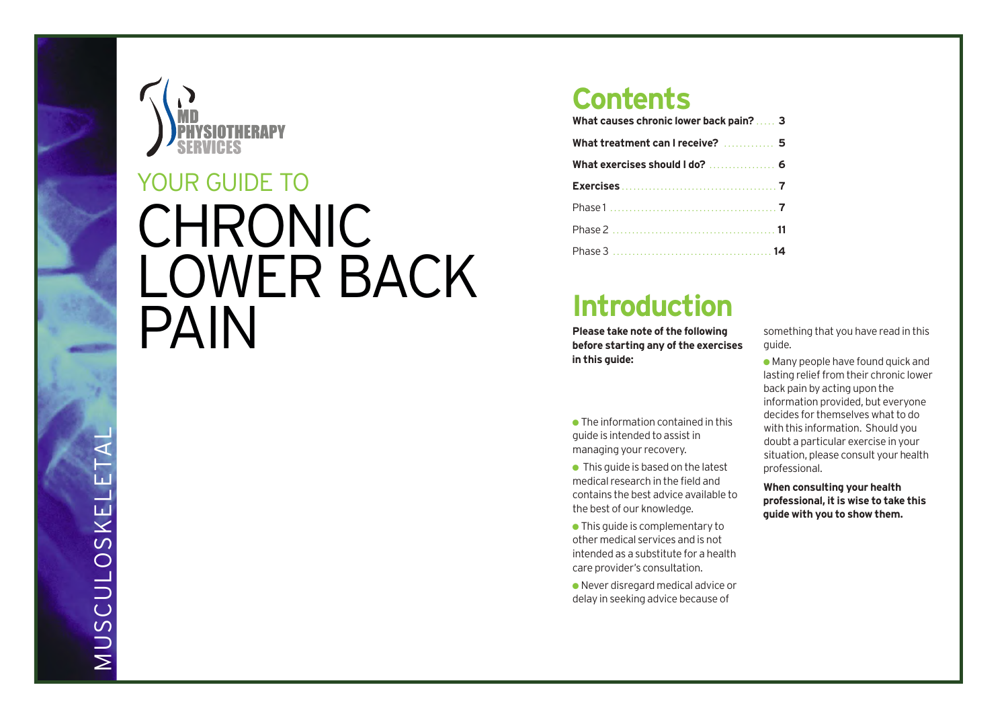

# CHRONIC LOWER BACK PAIN YOUR GUIDE TO

# **Contents**

| What causes chronic lower back pain?  3 |  |
|-----------------------------------------|--|
| What treatment can I receive?  5        |  |
| What exercises should I do?  6          |  |
|                                         |  |
|                                         |  |
|                                         |  |
|                                         |  |

# **Introduction**

**Please take note of the following before starting any of the exercises in this guide:**

● The information contained in this guide is intended to assistin managing your recovery.

 $\bullet$  This guide is based on the latest medical research in the field and contains the best advice available to the best of our knowledge.

● This guide is complementary to other medical services and is not intended as a substitute for a health care provider's consultation.

● Never disregard medical advice or delay in seeking advice because of

something that you have read in this guide.

 $\bullet$  Many people have found quick and lasting relief from their chronic lower back pain by acting upon the information provided, but everyone decides for themselves what to do with this information. Should you doubt a particular exercise in your situation, please consult your health professional.

**When consulting your health professional, it is wise to take this guide with you to show them.**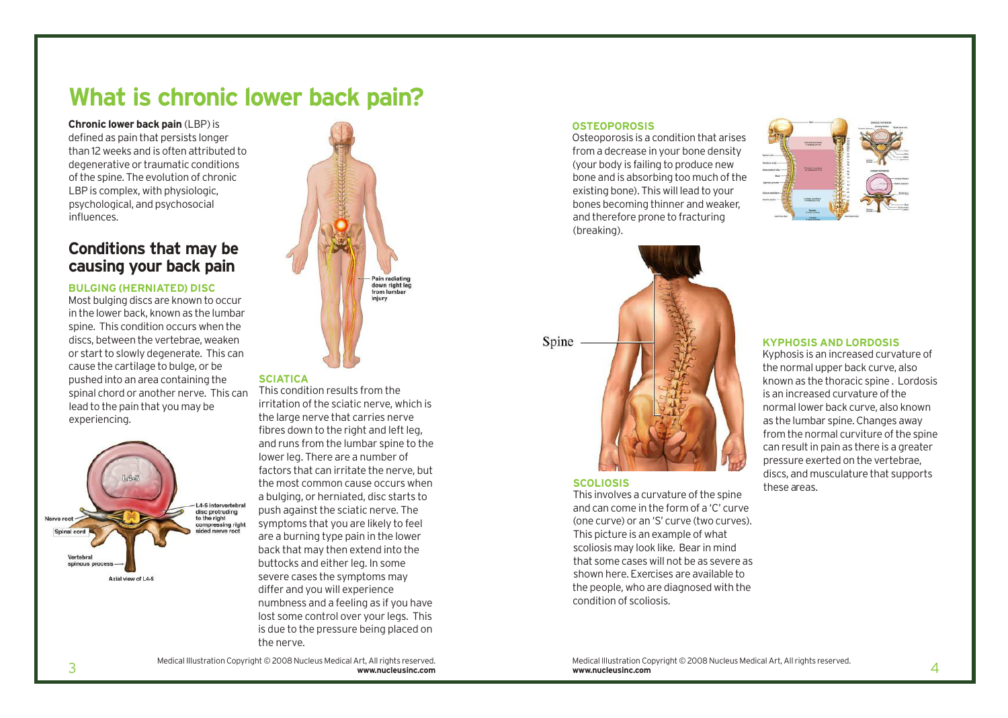# **What is chronic lower back pain?**

**Chronic lower back pain** (LBP)is defined as pain that persists longer than 12 weeks and is often attributed to degenerative or traumatic conditions of the spine. The evolution of chronic LBP is complex, with physiologic, psychological, and psychosocial influences.

## **Conditions that may be causing your back pain**

## **BULGING (HERNIATED) DISC**

Most bulging discs are known to occur in the lower back, known as the lumbar spine. This condition occurs when the discs, between the vertebrae, weaken or start to slowly degenerate. This can cause the cartilage to bulge, or be pushed into an area containing the spinal chord or another nerve. This can lead to the pain that you may be experiencing.





### **SCIATICA**

This condition results from the irritation of the sciatic nerve, which is the large nerve that carries nerve fibres down to the right and left leg. and runs from the lumbar spine to the lower leg. There are a number of factors that can irritate the nerve, but the most common cause occurs when a bulging, or herniated, disc starts to push against the sciatic nerve. The symptoms that you are likely to feel are a burning type pain in the lower back that may then extend into the buttocks and either leg. In some severe cases the symptoms may differ and you will experience numbness and a feeling as if you have lost some control over your legs. This is due to the pressure being placed on the nerve.

## Medical Illustration Copyright © 2008 Nucleus Medical Art, All rights reserved.

### **OSTEOPOROSIS**

Osteoporosis is a condition that arises from a decrease in your bone density (your body is failing to produce new bone and is absorbing too much of the existing bone). This will lead to your bones becoming thinner and weaker, and therefore prone to fracturing (breaking).





### **SCOLIOSIS**

This involves a curvature of the spine and can come in the form of a 'C' curve (one curve) or an 'S' curve (two curves). This picture is an example of what scoliosis may look like. Bear in mind that some cases will not be as severe as shown here. Exercises are available to the people, who are diagnosed with the condition of scoliosis.

### **KYPHOSIS AND LORDOSIS**

Kyphosis is an increased curvature of the normal upper back curve, also known as the thoracic spine . Lordosis is an increased curvature of the normal lower back curve, also known as the lumbar spine. Changes away from the normal curviture of the spine can result in pain as there is a greater pressure exerted on the vertebrae, discs, and musculature that supports these areas.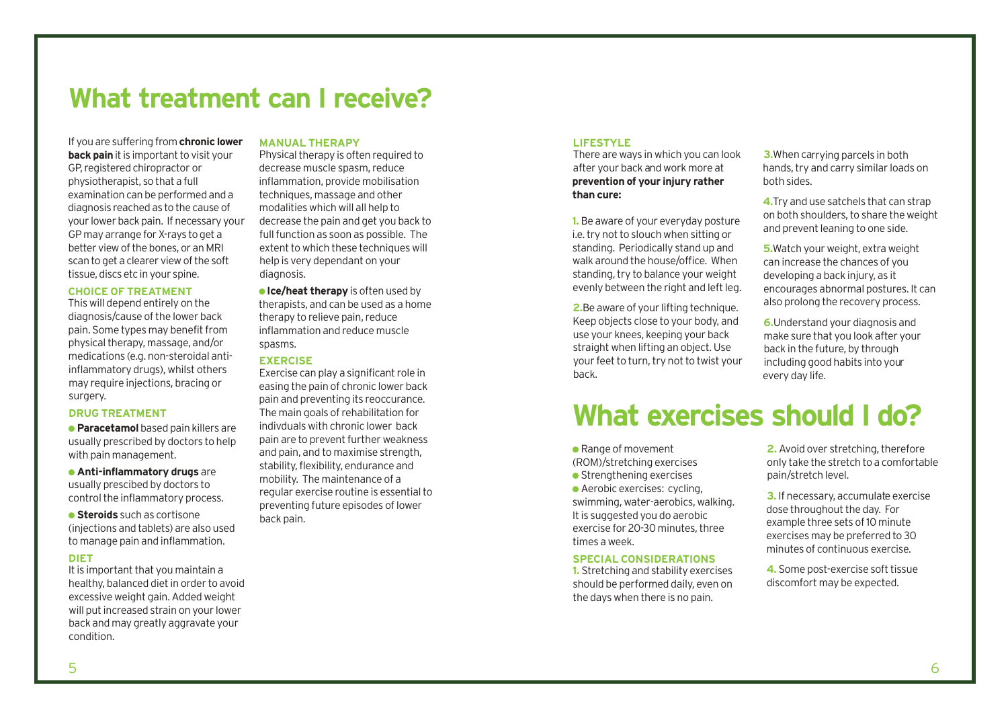# **What treatment can I receive?**

If you are suffering from **chronic lower back pain** it is important to visit your GP, registered chiropractor or physiotherapist, so that a full examination can be performed and a diagnosis reached as to the cause of your lower back pain. If necessary your GP may arrange for X-rays to get a better view of the bones, or an MRI scan to get a clearer view of the soft tissue, discs etc in your spine.

## **CHOICE OF TREATMENT**

This will depend entirely on the diagnosis/cause of the lower back pain. Some types may benefit from physical therapy, massage, and/or medications (e.g. non-steroidal antiinflammatory drugs), whilst others may require injections, bracing or surgery.

### **DRUG TREATMENT**

● **Paracetamol** based pain killers are usually prescribed by doctors to help with pain management.

● **Anti-inflammatory drugs** are usually prescibed by doctors to control the inflammatory process.

● **Steroids** such as cortisone (injections and tablets) are also used to manage pain and inflammation.

## **DIET**

It is important that you maintain a healthy, balanced diet in order to avoid excessive weight gain.Added weight will put increased strain on your lower back and may greatly aggravate your condition.

### **MANUAL THERAPY**

Physical therapy is often required to decrease muscle spasm, reduce inflammation, provide mobilisation techniques, massage and other modalities which will all help to decrease the pain and get you back to full function as soon as possible. The extent to which these techniques will help is very dependant on your diagnosis.

● **Ice/heat therapy** is often used by therapists, and can be used as a home therapy to relieve pain, reduce inflammation and reduce muscle spasms.

### **EXERCISE**

Exercise can play a significant role in easing the pain of chronic lower back pain and preventing its reoccurance. The main goals of rehabilitation for indivduals with chronic lower back pain are to prevent further weakness and pain, and to maximise strength, stability, flexibility, endurance and mobility. The maintenance of a regular exercise routine is essentialto preventing future episodes of lower back pain.

## **LIFESTYLE**

There are ways in which you can look after your back and work more at **prevention of your injury rather than cure:**

**1.** Be aware of your everyday posture i.e. try not to slouch when sitting or standing. Periodically stand up and walk around the house/office. When standing, try to balance your weight evenly between the right and left leg.

**2.**Be aware of your lifting technique. Keep objects close to your body, and use your knees, keeping your back straight when lifting an object. Use your feet to turn, try not to twist your back.

**3.**When carrying parcels in both hands, try and carry similar loads on both sides.

**4.**Try and use satchels that can strap on both shoulders, to share the weight and prevent leaning to one side.

**5.**Watch your weight, extra weight can increase the chances of you developing a back injury, as it encourages abnormal postures. It can also prolong the recovery process.

**6.**Understand your diagnosis and make sure that you look after your back in the future, by through including good habits into your every day life.

# **What exercises should I do?**

● Range of movement (ROM)/stretching exercises

 $\bullet$  Strengthening exercises

● Aerobic exercises: cycling, swimming, water-aerobics, walking. It is suggested you do aerobic exercise for 20-30 minutes, three times a week.

## **SPECIAL CONSIDERATIONS**

**1.** Stretching and stability exercises should be performed daily, even on the days when there is no pain.

**2.** Avoid over stretching, therefore only take the stretch to a comfortable pain/stretch level.

**3.** If necessary, accumulate exercise dose throughout the day. For example three sets of 10 minute exercises may be preferred to 30 minutes of continuous exercise.

**4.** Some post-exercise soft tissue discomfort may be expected.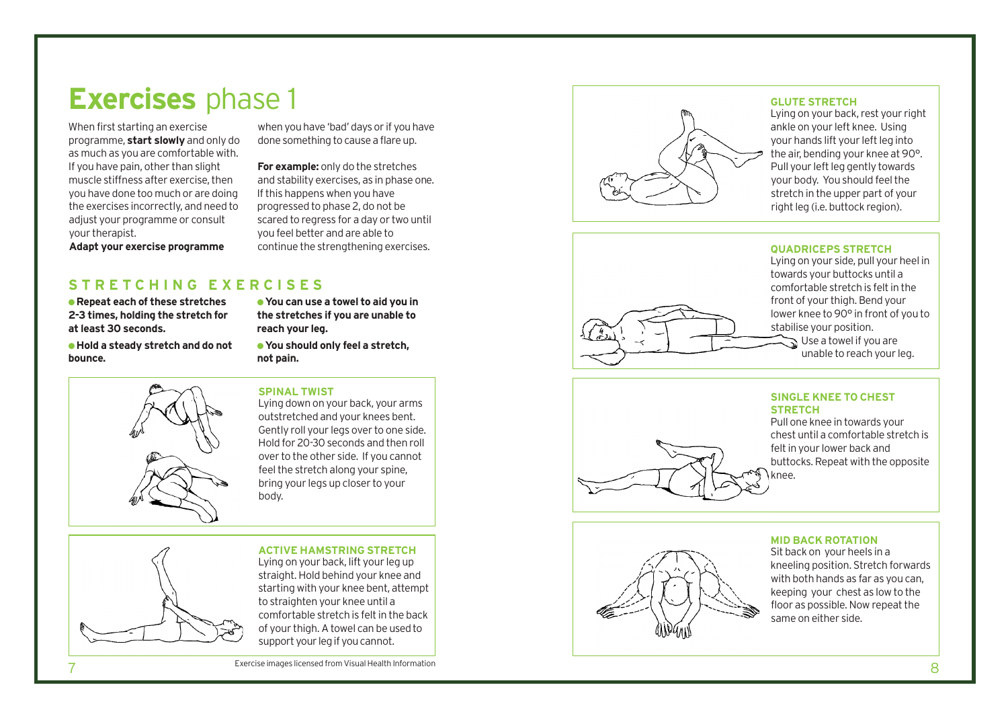# **Exercises** phase 1

When first starting an exercise programme, **start slowly** and only do as much as you are comfortable with. If you have pain, other than slight muscle stiffness after exercise, then you have done too much or are doing the exercises incorrectly, and need to adjust your programme or consult your therapist.

when you have 'bad' days or if you have done something to cause a flare up.

**For example:** only do the stretches and stability exercises, as in phase one. If this happens when you have progressed to phase 2, do not be scared to regress for a day or two until you feel better and are able to continue the strengthening exercises.

## **S T R E T C H I N G E X E R C I S E S**

• Repeat each of these stretches 2-3 times, holding the stretch for at least 30 seconds.

Adapt your exercise programme

. Hold a steady stretch and do not **b o u n c e .**



**e** You can use a towel to aid you in the stretches if you are unable to reach your leg.

. You should only feel a stretch, **n o t p a i n .**

## **SPINAL TWIST**

Lying down on your back, your arms outstretched and your knees bent. Gently roll your legs over to one side. Hold for 20-30 seconds and then roll over to the other side. If you cannot feel the stretch along your spine, bring your legs up closer to your b o d y.

## **ACTIVE HAMSTRING STRETCH** Lying on your back, lift your leg up straight. Hold behind your knee and

starting with your knee bent, attempt to straighten your knee until a comfortable stretch is felt in the back of your thigh. A towel can be used to support your leg if you cannot.



## **GLUTE STRETCH**

Lying on your back, rest your right ankle on your left knee. Using your hands lift your left leg into the air, bending your knee at 90°. Pull your left leg gently towards your body. You should feel the stretch in the upper part of your right leg (i.e. buttock region).

## **QUADRICEPS STRETCH**



Lying on your side, pull your heel in towards your buttocks until a comfortable stretch is felt in the front of your thigh. Bend your lower knee to 90° in front of you to stabilise your position. Use a towel if you are unable to reach your leg.

## **SINGLE KNEE TO CHEST STRETCH**

knee.

Pull one knee in towards your chest until a comfortable stretch is felt in your lower back and buttocks. Repeat with the opposite



## **MID BACK ROTATION**

Sit back on your heels in a kneeling position. Stretch forwards with both hands as far as you can, keeping your chest as low to the floor as possible. Now repeat the same on either side.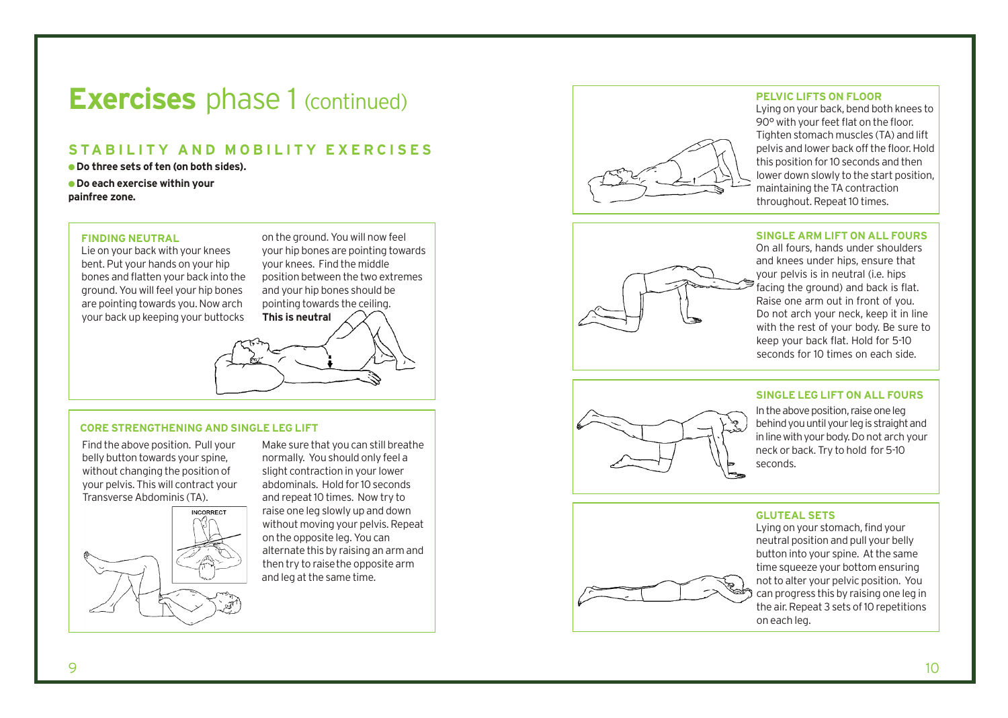# **Exercises** phase 1 (continued)

## STABILITY AND MOBILITY EXERCISES

• Do three sets of ten (on both sides).  $\bullet$  Do each exercise within your painfree zone.

FINDING NEUTRAL<br>
Lie on your back with your knees<br>
bent. Put your hands on your knees<br>
bones and flatten your back into the<br>
position bety<br>
ground. You will feel your hip bones<br>
and your hip<br>
are pointing towards you. Now

d. You will now feel your hip bones are pointing towards your knees. Find the middle position between the two extremes and your hip bones should be pointing towards the ceiling. **h is neutral** 

Find the above position. Pull your belly button towards your spine, without changing the position of your pelvis. This will contract your Transverse Abdominis (TA).



Make sure that you can still breathe normally. You should only feel a slight contraction in your lower abdominals. Hold for 10 seconds and repeat 10 times. Now try to raise one leg slowly up and down without moving your pelvis. Repeat on the opposite leg. You can alternate this by raising an arm and then try to raise the opposite arm and leg at the same time.



## **PELVIC LIFTS ON FLOOR**

Lying on your back, bend both knees to 90° with your feet flat on the floor. Tighten stomach muscles (TA) and lift pelvis and lower back off the floor. Hold this position for 10 seconds and then lower down slowly to the start position, maintaining the TA contraction throughout. Repeat 10 times.

## **SINGLE ARM LIFT ON ALL FOURS**



On all fours, hands under shoulders and knees under hips, ensure that your pelvis is in neutral (i.e. hips facing the ground) and back is flat. Raise one arm out in front of you. Do not arch your neck, keep it in line with the rest of your body. Be sure to keep your back flat. Hold for 5-10 seconds for 10 times on each side.

### **SINGLE LEG LIFT ON ALL FOURS**



In the above position, raise one leg behind you until your leg is straight and in line with your body. Do not arch your neck or back. Try to hold for 5-10 seconds.

### GLUTEAL SETS



Lying on your stomach, find your neutral position and pull your belly button into your spine. At the same time squeeze your bottom ensuring not to alter your pelvic position. You can progress this by raising one leg in the air. Repeat 3 sets of 10 repetitions on each leg.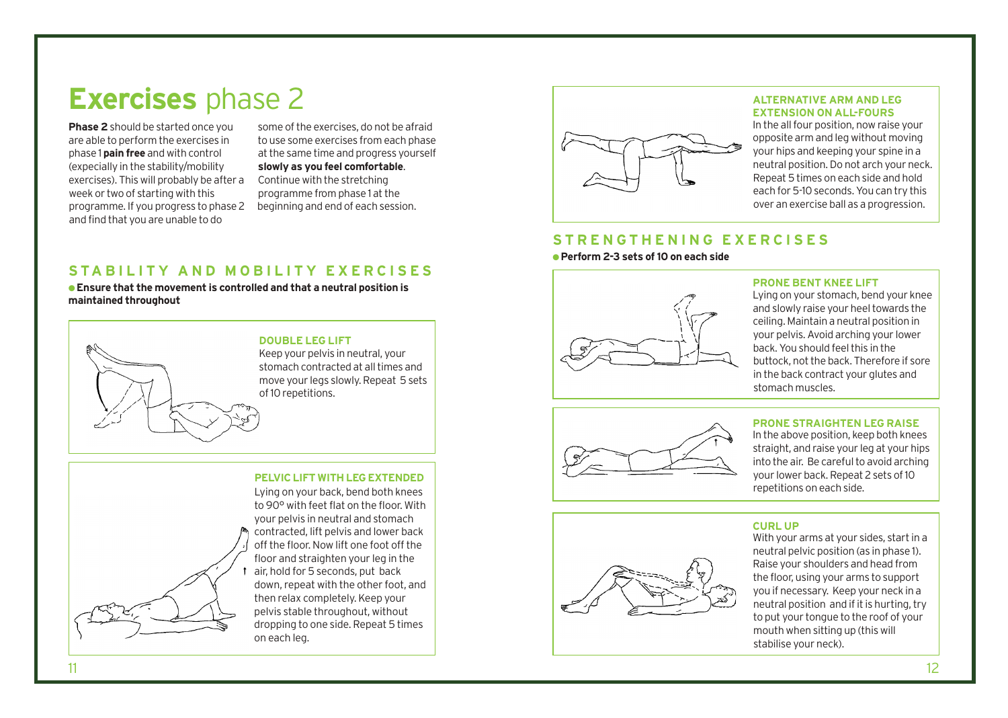# **Exercises** phase 2

**Phase 2**should be started once you are able to perform the exercises in phase 1 **pain free** and with control (expecially in the stability/mobility exercises). This will probably be after a week or two of starting with this programme. If you progress to phase 2 and find that you are unable to do

some of the exercises, do not be afraid to use some exercises from each phase at the same time and progress yourself **slowly as you feel comfortable**. Continue with the stretching programme from phase 1 at the beginning and end of each session.

## STABILITY AND MOBILITY FXFRCISFS

● **Ensure that the movement is controlled and that a neutral position is maintained throughout**



stomach contracted at all times and move your legs slowly. Repeat 5 sets

## **PELVICLIFT WITHLEGEXTENDED**

Lying on your back, bend both knees to 90° with feet flat on the floor. With your pelvis in neutral and stomach contracted, lift pelvis and lower back off the floor. Now lift one foot off the floor and straighten your leg in the air, hold for 5 seconds, put back down, repeat with the other foot, and then relax completely. Keep your pelvis stable throughout, without dropping to one side. Repeat 5 times on each leg.



## **ALTERNATIVE ARM AND LEG EXTENSION ON ALL-FOURS**

In the allfour position, now raise your opposite arm and leg without moving your hips and keeping your spine in a neutral position.Do not arch your neck. Repeat 5 times on each side and hold each for 5-10 seconds. You can try this over an exercise ball as a progression.

## **S T R E N G T H E N I N G E X E R C I S E S**

● **Perform 2-3 sets of10 on each side**



## **PRONE BENT KNEE LIFT**

Lying on your stomach, bend your knee and slowly raise your heel towards the ceiling. Maintain a neutral position in your pelvis.Avoid arching your lower back.You should feelthis in the buttock, not the back. Therefore if sore in the back contract your glutes and stomach muscles.



## **PRONE STRAIGHTEN LEG RAISE**

In the above position, keep both knees straight, and raise your leg at your hips into the air. Be careful to avoid arching your lower back. Repeat 2 sets of 10 repetitions on each side.

## **CURL UP**

With your arms at your sides, start in a neutral pelvic position (as in phase 1). Raise your shoulders and head from the floor, using your arms to support you if necessary. Keep your neck in a neutral position and if it is hurting, try to put your tongue to the roof of your mouth when sitting up (this will stabilise your neck).

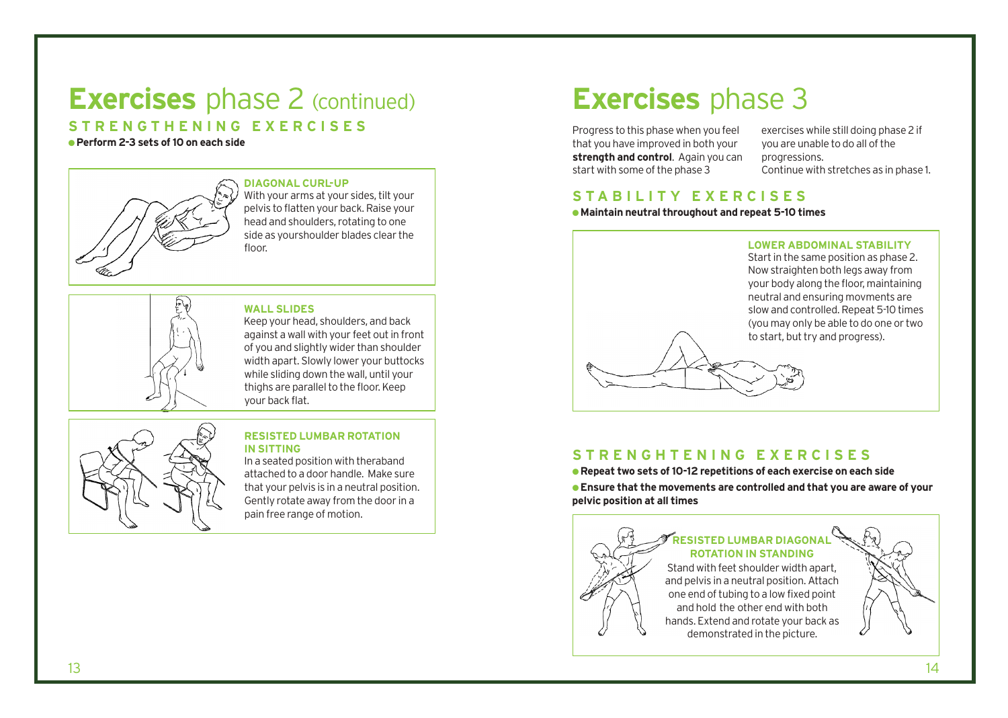# **Exercises** phase 2 (continued)

**S T R E N G T H E N I N G E X E R C I S E S**

● **Perform 2-3 sets of10 on each side**



## **DIAGONAL CURL-UP**

With your arms at your sides, tilt your pelvis to flatten your back.Raise your head and shoulders, rotating to one side as yourshoulder blades clear the floor

## **WALL SLIDES**

Keep your head, shoulders, and back against a wall with your feet out in front of you and slightly wider than shoulder width apart. Slowly lower your buttocks while sliding down the wall, until your thighs are parallel to the floor. Keep your back flat.



## **RESISTED LUMBAR ROTATION IN SITTING**

In a seated position with theraband attached to a door handle. Make sure that your pelvis is in a neutral position. Gently rotate away from the door in a pain free range of motion.

# **Exercises** phase 3

Progress to this phase when you feel that you have improved in both your **strength and control**. Again you can start with some of the phase 3

exercises while still doing phase 2 if you are unable to do all of the progressions. Continue with stretches as in phase 1.

## **S T A B I L I T Y E X E R C I S E S**

●**Maintain neutral throughout and repeat 5-10 times**



## **S T R E N G H T E N I N G E X E R C I S E S**

● **Repeat two sets of10-12 repetitions of each exercise on each side** ● **Ensure that the movements are controlled and that you are aware of your pelvic position at all times**